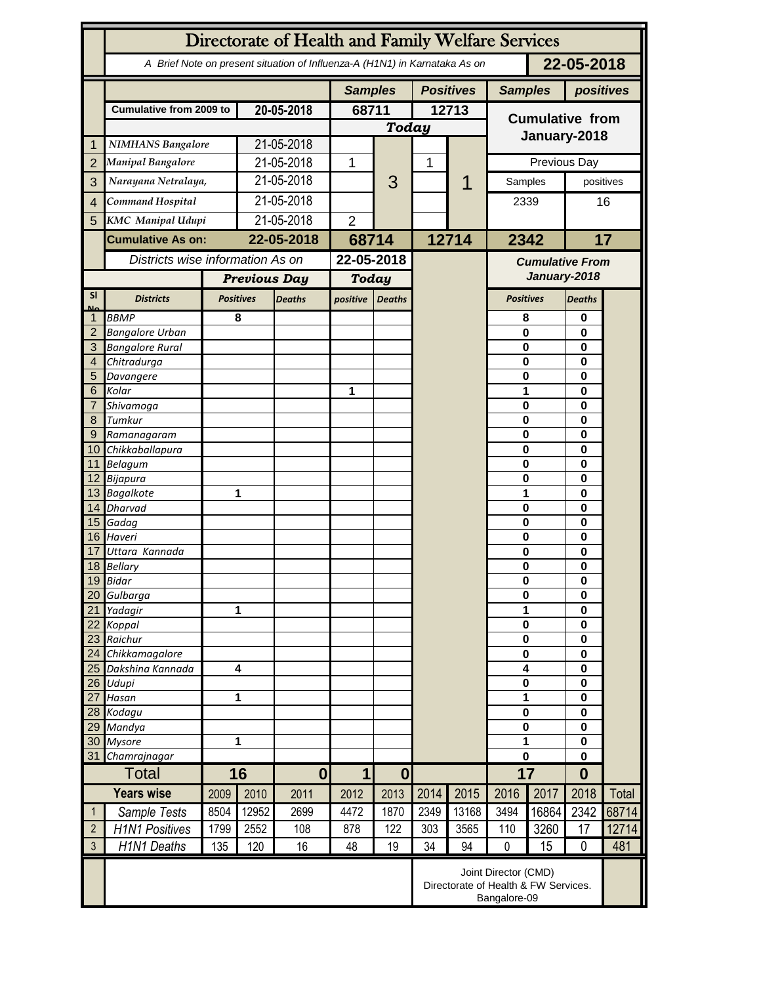|                   | Directorate of Health and Family Welfare Services                                        |                     |                                   |                |                |                  |           |                                                                              |                                        |                                   |                      |       |  |
|-------------------|------------------------------------------------------------------------------------------|---------------------|-----------------------------------|----------------|----------------|------------------|-----------|------------------------------------------------------------------------------|----------------------------------------|-----------------------------------|----------------------|-------|--|
|                   | 22-05-2018<br>A Brief Note on present situation of Influenza-A (H1N1) in Karnataka As on |                     |                                   |                |                |                  |           |                                                                              |                                        |                                   |                      |       |  |
|                   |                                                                                          |                     |                                   | <b>Samples</b> |                | <b>Positives</b> |           | <b>Samples</b>                                                               |                                        | positives                         |                      |       |  |
|                   | <b>Cumulative from 2009 to</b>                                                           |                     | 20-05-2018                        |                | 68711          |                  | 12713     |                                                                              | <b>Cumulative from</b>                 |                                   |                      |       |  |
|                   |                                                                                          |                     |                                   |                | <b>Today</b>   |                  |           |                                                                              |                                        |                                   |                      |       |  |
| 1                 | <b>NIMHANS Bangalore</b>                                                                 |                     | 21-05-2018                        |                |                |                  |           |                                                                              |                                        | January-2018                      |                      |       |  |
| $\overline{2}$    | <b>Manipal Bangalore</b>                                                                 |                     | 21-05-2018                        |                | 1              |                  | 1         |                                                                              | Previous Day                           |                                   |                      |       |  |
| 3                 |                                                                                          | Narayana Netralaya, |                                   | 21-05-2018     |                | 3                |           |                                                                              | Samples                                |                                   | positives            |       |  |
|                   | Command Hospital                                                                         |                     | 21-05-2018                        |                |                |                  |           |                                                                              |                                        |                                   | 16                   |       |  |
| $\overline{4}$    |                                                                                          |                     |                                   |                |                |                  |           |                                                                              | 2339                                   |                                   |                      |       |  |
| 5                 | <b>KMC</b> Manipal Udupi                                                                 |                     | 21-05-2018                        |                | $\overline{2}$ |                  |           |                                                                              |                                        |                                   |                      |       |  |
|                   | <b>Cumulative As on:</b>                                                                 |                     | 22-05-2018                        |                | 68714          |                  | 12714     |                                                                              | 2342                                   |                                   |                      | 17    |  |
|                   | Districts wise information As on                                                         |                     |                                   |                | 22-05-2018     |                  |           |                                                                              | <b>Cumulative From</b><br>January-2018 |                                   |                      |       |  |
|                   |                                                                                          |                     | <b>Previous Day</b>               |                | <b>Today</b>   |                  |           |                                                                              |                                        |                                   |                      |       |  |
| <b>SI</b>         | <b>Districts</b>                                                                         |                     | <b>Positives</b><br><b>Deaths</b> |                | positive       | <b>Deaths</b>    |           |                                                                              |                                        | <b>Positives</b><br><b>Deaths</b> |                      |       |  |
| Mz                | <b>BBMP</b>                                                                              |                     | 8                                 |                |                |                  |           |                                                                              | 8                                      |                                   | 0                    |       |  |
| $\overline{2}$    | <b>Bangalore Urban</b>                                                                   |                     |                                   |                |                |                  |           |                                                                              | $\mathbf{0}$                           |                                   | 0                    |       |  |
| 3                 | <b>Bangalore Rural</b>                                                                   |                     |                                   |                |                |                  |           |                                                                              | 0                                      |                                   | $\bf{0}$<br>0        |       |  |
| 4                 | Chitradurga                                                                              |                     |                                   |                |                |                  |           |                                                                              | 0                                      |                                   |                      |       |  |
| 5                 | Davangere                                                                                |                     |                                   |                |                |                  |           |                                                                              | 0                                      |                                   | 0                    |       |  |
| 6                 | Kolar                                                                                    |                     |                                   |                | 1              |                  |           |                                                                              | 1<br>$\mathbf 0$                       |                                   | 0                    |       |  |
| 7<br>8            | Shivamoga<br>Tumkur                                                                      |                     |                                   |                |                |                  |           |                                                                              | $\mathbf 0$                            |                                   | 0<br>0               |       |  |
| 9                 | Ramanagaram                                                                              |                     |                                   |                |                |                  |           |                                                                              | $\mathbf 0$                            |                                   | 0                    |       |  |
| 10 <sup>°</sup>   | Chikkaballapura                                                                          |                     |                                   |                |                |                  |           |                                                                              | 0                                      |                                   | 0                    |       |  |
|                   | 11 Belagum                                                                               |                     |                                   |                |                |                  |           |                                                                              | $\bf{0}$                               |                                   | 0                    |       |  |
|                   | 12 Bijapura                                                                              |                     |                                   |                |                |                  |           |                                                                              | $\mathbf 0$                            |                                   | $\bf{0}$             |       |  |
|                   | 13 Bagalkote                                                                             |                     |                                   | 1              |                |                  |           |                                                                              | 1                                      |                                   | $\bf{0}$             |       |  |
|                   | 14 Dharvad                                                                               |                     |                                   |                |                |                  |           |                                                                              |                                        | $\mathbf 0$<br>0                  |                      |       |  |
|                   | 15 Gadag<br>16 Haveri                                                                    |                     |                                   |                |                |                  |           |                                                                              | $\mathbf 0$<br>$\mathbf 0$             |                                   | 0<br>$\bf{0}$        |       |  |
| 17                | Uttara Kannada                                                                           |                     |                                   |                |                |                  |           |                                                                              | 0                                      |                                   | 0                    |       |  |
|                   | 18 Bellary                                                                               |                     |                                   |                |                |                  |           |                                                                              | 0                                      |                                   | 0                    |       |  |
|                   | 19 Bidar                                                                                 |                     |                                   |                |                |                  |           |                                                                              | $\pmb{0}$                              |                                   | 0                    |       |  |
| 20                | Gulbarga                                                                                 |                     |                                   |                |                |                  |           |                                                                              |                                        | $\bf{0}$                          |                      |       |  |
| 21                | Yadagir                                                                                  | 1                   |                                   |                |                |                  |           |                                                                              | 1                                      |                                   | 0<br>$\bf{0}$        |       |  |
| 22                | Koppal                                                                                   |                     |                                   |                |                |                  |           |                                                                              |                                        | $\bf{0}$<br>$\bf{0}$              |                      |       |  |
| 23<br>24          | Raichur                                                                                  | Chikkamagalore      |                                   |                |                |                  |           |                                                                              |                                        | $\bf{0}$                          |                      |       |  |
| 25                | Dakshina Kannada                                                                         |                     | $\overline{\mathbf{4}}$           |                |                |                  |           |                                                                              | 4                                      |                                   | $\bf{0}$<br>$\bf{0}$ |       |  |
| 26                | Udupi                                                                                    |                     |                                   |                |                |                  |           |                                                                              | $\pmb{0}$                              |                                   | $\bf{0}$             |       |  |
| 27                | Hasan                                                                                    |                     |                                   | 1              |                |                  |           |                                                                              |                                        | 1                                 |                      |       |  |
|                   | 28 Kodagu                                                                                |                     |                                   |                |                |                  |           |                                                                              | $\pmb{0}$                              |                                   | $\bf{0}$             |       |  |
| 29                | Mandya                                                                                   |                     | 1                                 |                |                |                  |           |                                                                              | $\bf{0}$                               |                                   | $\bf{0}$             |       |  |
| 30<br>31          | <b>Mysore</b>                                                                            | Chamrajnagar        |                                   |                |                |                  |           |                                                                              | 1<br>0                                 |                                   | $\bf{0}$<br>$\bf{0}$ |       |  |
|                   | <b>Total</b>                                                                             |                     | 16<br>$\mathbf{0}$                |                | 1              | $\boldsymbol{0}$ |           |                                                                              | 17                                     |                                   | $\bf{0}$             |       |  |
| <b>Years wise</b> |                                                                                          | 2009                | 2010                              | 2011           | 2012           | 2013             | 2014      | 2015                                                                         | 2016                                   | 2017                              | 2018                 | Total |  |
| $\mathbf{1}$      | Sample Tests                                                                             | 8504                | 12952                             | 2699           | 4472           | 1870             | 2349      | 13168                                                                        | 3494                                   | 16864                             | 2342                 | 68714 |  |
| $\overline{2}$    |                                                                                          |                     | 2552                              |                |                |                  |           |                                                                              |                                        |                                   |                      |       |  |
| $\mathfrak{Z}$    | <b>H1N1 Positives</b>                                                                    | 1799                |                                   | 108            | 878            | 122<br>19        | 303<br>34 | 3565                                                                         | 110<br>$\mathbf 0$                     | 3260                              | 17<br>$\mathbf 0$    | 12714 |  |
|                   | H1N1 Deaths                                                                              | 135                 | 120                               | 16             | 48             |                  |           | 94                                                                           |                                        | 15                                |                      | 481   |  |
|                   |                                                                                          |                     |                                   |                |                |                  |           | Joint Director (CMD)<br>Directorate of Health & FW Services.<br>Bangalore-09 |                                        |                                   |                      |       |  |